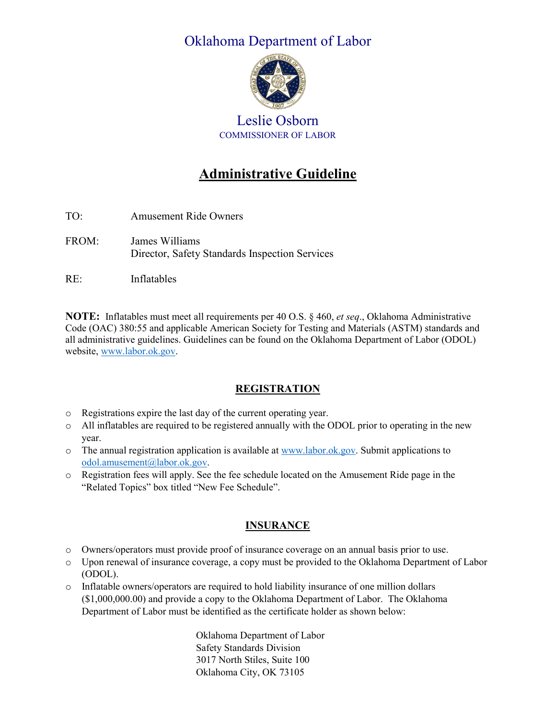## Oklahoma Department of Labor



## Leslie Osborn COMMISSIONER OF LABOR

# **Administrative Guideline**

- TO: Amusement Ride Owners FROM: James Williams Director, Safety Standards Inspection Services
- RE: Inflatables

**NOTE:** Inflatables must meet all requirements per 40 O.S. § 460, *et seq*., Oklahoma Administrative Code (OAC) 380:55 and applicable American Society for Testing and Materials (ASTM) standards and all administrative guidelines. Guidelines can be found on the Oklahoma Department of Labor (ODOL) website, [www.labor.ok.gov.](http://www.labor.ok.gov/)

#### **REGISTRATION**

- o Registrations expire the last day of the current operating year.
- o All inflatables are required to be registered annually with the ODOL prior to operating in the new year.
- $\circ$  The annual registration application is available a[t www.labor.ok.gov.](http://www.labor.ok.gov/) Submit applications to [odol.amusement@labor.ok.gov.](mailto:odol.amusement@labor.ok.gov)
- o Registration fees will apply. See the fee schedule located on the Amusement Ride page in the "Related Topics" box titled "New Fee Schedule".

#### **INSURANCE**

- o Owners/operators must provide proof of insurance coverage on an annual basis prior to use.
- o Upon renewal of insurance coverage, a copy must be provided to the Oklahoma Department of Labor (ODOL).
- o Inflatable owners/operators are required to hold liability insurance of one million dollars (\$1,000,000.00) and provide a copy to the Oklahoma Department of Labor. The Oklahoma Department of Labor must be identified as the certificate holder as shown below:

Oklahoma Department of Labor Safety Standards Division 3017 North Stiles, Suite 100 Oklahoma City, OK 73105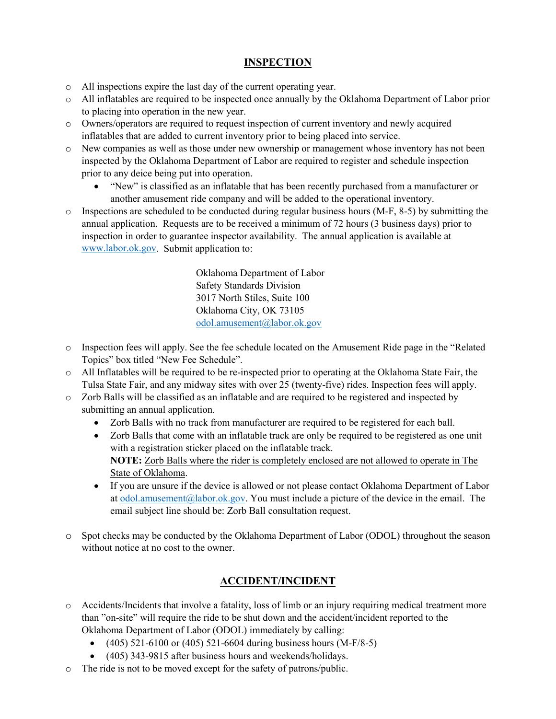#### **INSPECTION**

- o All inspections expire the last day of the current operating year.
- o All inflatables are required to be inspected once annually by the Oklahoma Department of Labor prior to placing into operation in the new year.
- o Owners/operators are required to request inspection of current inventory and newly acquired inflatables that are added to current inventory prior to being placed into service.
- o New companies as well as those under new ownership or management whose inventory has not been inspected by the Oklahoma Department of Labor are required to register and schedule inspection prior to any deice being put into operation.
	- "New" is classified as an inflatable that has been recently purchased from a manufacturer or another amusement ride company and will be added to the operational inventory.
- $\circ$  Inspections are scheduled to be conducted during regular business hours (M-F, 8-5) by submitting the annual application. Requests are to be received a minimum of 72 hours (3 business days) prior to inspection in order to guarantee inspector availability. The annual application is available at [www.labor.ok.gov.](http://www.labor.ok.gov/) Submit application to:

Oklahoma Department of Labor Safety Standards Division 3017 North Stiles, Suite 100 Oklahoma City, OK 73105 [odol.amusement@labor.ok.gov](mailto:odol.amusement@labor.ok.gov)

- o Inspection fees will apply. See the fee schedule located on the Amusement Ride page in the "Related Topics" box titled "New Fee Schedule".
- o All Inflatables will be required to be re-inspected prior to operating at the Oklahoma State Fair, the Tulsa State Fair, and any midway sites with over 25 (twenty-five) rides. Inspection fees will apply.
- o Zorb Balls will be classified as an inflatable and are required to be registered and inspected by submitting an annual application.
	- Zorb Balls with no track from manufacturer are required to be registered for each ball.
	- Zorb Balls that come with an inflatable track are only be required to be registered as one unit with a registration sticker placed on the inflatable track. **NOTE:** Zorb Balls where the rider is completely enclosed are not allowed to operate in The State of Oklahoma.
	- If you are unsure if the device is allowed or not please contact Oklahoma Department of Labor at  $\frac{odol.ammsement@labor.ok.gov.}$  You must include a picture of the device in the email. The email subject line should be: Zorb Ball consultation request.
- o Spot checks may be conducted by the Oklahoma Department of Labor (ODOL) throughout the season without notice at no cost to the owner.

### **ACCIDENT/INCIDENT**

- o Accidents/Incidents that involve a fatality, loss of limb or an injury requiring medical treatment more than "on-site" will require the ride to be shut down and the accident/incident reported to the Oklahoma Department of Labor (ODOL) immediately by calling:
	- $(405)$  521-6100 or  $(405)$  521-6604 during business hours  $(M-F/8-5)$
	- (405) 343-9815 after business hours and weekends/holidays.
- o The ride is not to be moved except for the safety of patrons/public.